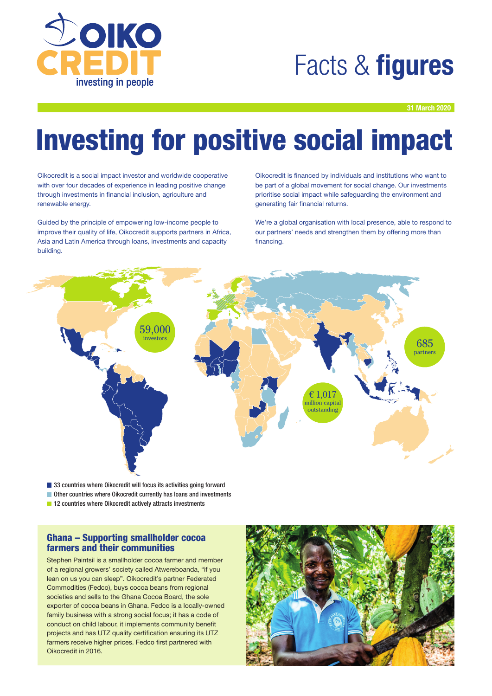

## Facts & **figures**

31 March 2020

# Investing for positive social impact

Oikocredit is a social impact investor and worldwide cooperative with over four decades of experience in leading positive change through investments in financial inclusion, agriculture and renewable energy.

Guided by the principle of empowering low-income people to improve their quality of life, Oikocredit supports partners in Africa, Asia and Latin America through loans, investments and capacity building.

Oikocredit is financed by individuals and institutions who want to be part of a global movement for social change. Our investments prioritise social impact while safeguarding the environment and generating fair financial returns.

We're a global organisation with local presence, able to respond to our partners' needs and strengthen them by offering more than financing.



■ 33 countries where Oikocredit will focus its activities going forward

■ Other countries where Oikocredit currently has loans and investments **12 countries where Oikocredit actively attracts investments** 

### Ghana – Supporting smallholder cocoa

farmers and their communities

Stephen Paintsil is a smallholder cocoa farmer and member of a regional growers' society called Atwereboanda, "if you lean on us you can sleep". Oikocredit's partner Federated Commodities (Fedco), buys cocoa beans from regional societies and sells to the Ghana Cocoa Board, the sole exporter of cocoa beans in Ghana. Fedco is a locally-owned family business with a strong social focus; it has a code of conduct on child labour, it implements community benefit projects and has UTZ quality certification ensuring its UTZ farmers receive higher prices. Fedco first partnered with Oikocredit in 2016.